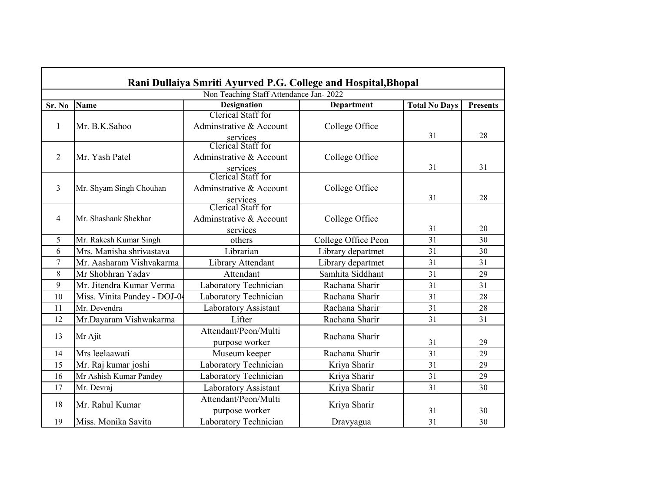| Rani Dullaiya Smriti Ayurved P.G. College and Hospital, Bhopal |                              |                                |                     |                      |                 |  |
|----------------------------------------------------------------|------------------------------|--------------------------------|---------------------|----------------------|-----------------|--|
| Non Teaching Staff Attendance Jan-2022                         |                              |                                |                     |                      |                 |  |
| Sr. No                                                         | <b>Name</b>                  | <b>Designation</b>             | <b>Department</b>   | <b>Total No Days</b> | <b>Presents</b> |  |
| 1                                                              |                              | Clerical Staff for             |                     |                      |                 |  |
|                                                                | Mr. B.K.Sahoo                | Adminstrative & Account        | College Office      |                      |                 |  |
|                                                                |                              | services<br>Clerical Staff for |                     | 31                   | 28              |  |
|                                                                |                              |                                |                     |                      |                 |  |
| $\overline{2}$                                                 | Mr. Yash Patel               | Adminstrative & Account        | College Office      |                      |                 |  |
|                                                                |                              | services<br>Clerical Staff for |                     | 31                   | 31              |  |
| $\overline{3}$                                                 |                              | Adminstrative & Account        |                     |                      |                 |  |
|                                                                | Mr. Shyam Singh Chouhan      |                                | College Office      | 31                   | 28              |  |
|                                                                |                              | services<br>Clerical Staff for |                     |                      |                 |  |
| $\overline{4}$                                                 | Mr. Shashank Shekhar         | Adminstrative & Account        | College Office      |                      |                 |  |
|                                                                |                              | services                       |                     | 31                   | 20              |  |
| 5                                                              | Mr. Rakesh Kumar Singh       | others                         | College Office Peon | 31                   | 30              |  |
| 6                                                              | Mrs. Manisha shrivastava     | Librarian                      | Library departmet   | 31                   | 30              |  |
| 7                                                              | Mr. Aasharam Vishvakarma     | Library Attendant              | Library departmet   | 31                   | 31              |  |
| 8                                                              | Mr Shobhran Yadav            | Attendant                      | Samhita Siddhant    | 31                   | 29              |  |
| 9                                                              | Mr. Jitendra Kumar Verma     | Laboratory Technician          | Rachana Sharir      | 31                   | 31              |  |
| 10                                                             | Miss. Vinita Pandey - DOJ-04 | Laboratory Technician          | Rachana Sharir      | 31                   | 28              |  |
| 11                                                             | Mr. Devendra                 | Laboratory Assistant           | Rachana Sharir      | 31                   | 28              |  |
| 12                                                             | Mr.Dayaram Vishwakarma       | Lifter                         | Rachana Sharir      | 31                   | 31              |  |
|                                                                | Mr Ajit                      | Attendant/Peon/Multi           | Rachana Sharir      |                      |                 |  |
| 13                                                             |                              | purpose worker                 |                     | 31                   | 29              |  |
| 14                                                             | Mrs leelaawati               | Museum keeper                  | Rachana Sharir      | 31                   | 29              |  |
| 15                                                             | Mr. Raj kumar joshi          | Laboratory Technician          | Kriya Sharir        | 31                   | 29              |  |
| 16                                                             | Mr Ashish Kumar Pandey       | Laboratory Technician          | Kriya Sharir        | 31                   | 29              |  |
| 17                                                             | Mr. Devraj                   | Laboratory Assistant           | Kriya Sharir        | 31                   | 30              |  |
| 18                                                             | Mr. Rahul Kumar              | Attendant/Peon/Multi           | Kriya Sharir        |                      |                 |  |
|                                                                |                              | purpose worker                 |                     | 31                   | 30              |  |
| 19                                                             | Miss. Monika Savita          | Laboratory Technician          | Dravyagua           | 31                   | 30              |  |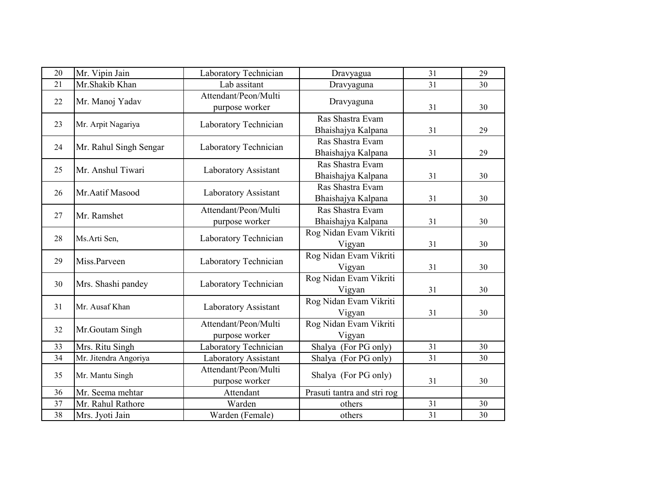| 20 | Mr. Vipin Jain         | Laboratory Technician                  | Dravyagua                              | 31 | 29 |
|----|------------------------|----------------------------------------|----------------------------------------|----|----|
| 21 | Mr.Shakib Khan         | Lab assitant                           | Dravyaguna                             | 31 | 30 |
| 22 | Mr. Manoj Yadav        | Attendant/Peon/Multi<br>purpose worker | Dravyaguna                             | 31 | 30 |
| 23 | Mr. Arpit Nagariya     | Laboratory Technician                  | Ras Shastra Evam<br>Bhaishajya Kalpana | 31 | 29 |
| 24 | Mr. Rahul Singh Sengar | Laboratory Technician                  | Ras Shastra Evam<br>Bhaishajya Kalpana | 31 | 29 |
| 25 | Mr. Anshul Tiwari      | Laboratory Assistant                   | Ras Shastra Evam<br>Bhaishajya Kalpana | 31 | 30 |
| 26 | Mr.Aatif Masood        | Laboratory Assistant                   | Ras Shastra Evam<br>Bhaishajya Kalpana | 31 | 30 |
| 27 | Mr. Ramshet            | Attendant/Peon/Multi<br>purpose worker | Ras Shastra Evam<br>Bhaishajya Kalpana | 31 | 30 |
| 28 | Ms.Arti Sen,           | Laboratory Technician                  | Rog Nidan Evam Vikriti<br>Vigyan       | 31 | 30 |
| 29 | Miss.Parveen           | Laboratory Technician                  | Rog Nidan Evam Vikriti<br>Vigyan       | 31 | 30 |
| 30 | Mrs. Shashi pandey     | Laboratory Technician                  | Rog Nidan Evam Vikriti<br>Vigyan       | 31 | 30 |
| 31 | Mr. Ausaf Khan         | Laboratory Assistant                   | Rog Nidan Evam Vikriti<br>Vigyan       | 31 | 30 |
| 32 | Mr.Goutam Singh        | Attendant/Peon/Multi<br>purpose worker | Rog Nidan Evam Vikriti<br>Vigyan       |    |    |
| 33 | Mrs. Ritu Singh        | Laboratory Technician                  | Shalya (For PG only)                   | 31 | 30 |
| 34 | Mr. Jitendra Angoriya  | Laboratory Assistant                   | Shalya (For PG only)                   | 31 | 30 |
| 35 | Mr. Mantu Singh        | Attendant/Peon/Multi<br>purpose worker | Shalya (For PG only)                   | 31 | 30 |
| 36 | Mr. Seema mehtar       | Attendant                              | Prasuti tantra and stri rog            |    |    |
| 37 | Mr. Rahul Rathore      | Warden                                 | others                                 | 31 | 30 |
| 38 | Mrs. Jyoti Jain        | Warden (Female)                        | others                                 | 31 | 30 |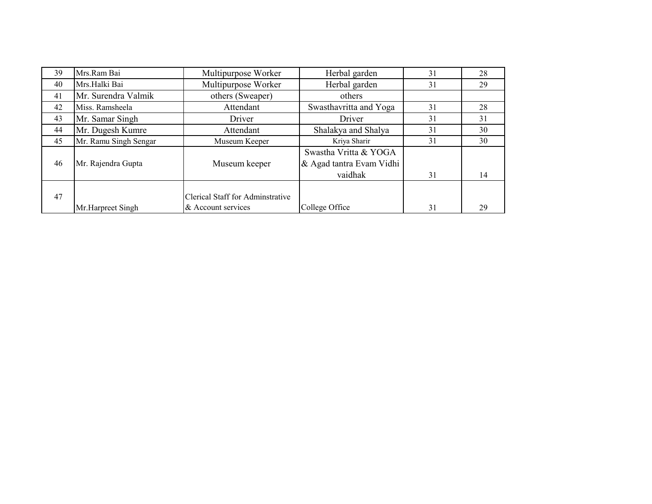| 39 | Mrs.Ram Bai           | Multipurpose Worker              | Herbal garden            | 31 | 28 |
|----|-----------------------|----------------------------------|--------------------------|----|----|
| 40 | Mrs.Halki Bai         | Multipurpose Worker              | Herbal garden            | 31 | 29 |
| 41 | Mr. Surendra Valmik   | others (Sweaper)                 | others                   |    |    |
| 42 | Miss. Ramsheela       | Attendant                        | Swasthavritta and Yoga   | 31 | 28 |
| 43 | Mr. Samar Singh       | Driver                           | Driver                   | 31 | 31 |
| 44 | Mr. Dugesh Kumre      | Attendant                        | Shalakya and Shalya      | 31 | 30 |
| 45 | Mr. Ramu Singh Sengar | Museum Keeper                    | Kriya Sharir             | 31 | 30 |
|    |                       |                                  | Swastha Vritta & YOGA    |    |    |
| 46 | Mr. Rajendra Gupta    | Museum keeper                    | & Agad tantra Evam Vidhi |    |    |
|    |                       |                                  | vaidhak                  | 31 | 14 |
|    |                       |                                  |                          |    |    |
| 47 |                       | Clerical Staff for Adminstrative |                          |    |    |
|    | Mr.Harpreet Singh     | & Account services               | College Office           | 31 | 29 |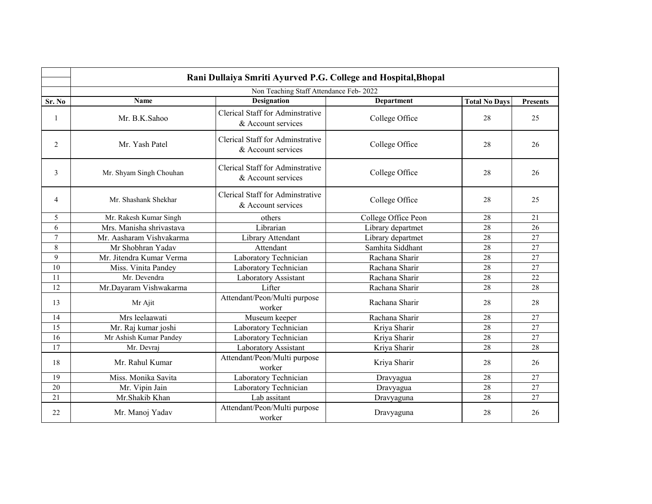|                | Rani Dullaiya Smriti Ayurved P.G. College and Hospital, Bhopal |                                                        |                     |                      |                 |  |  |
|----------------|----------------------------------------------------------------|--------------------------------------------------------|---------------------|----------------------|-----------------|--|--|
|                | Non Teaching Staff Attendance Feb- 2022                        |                                                        |                     |                      |                 |  |  |
| Sr. No         | Name                                                           | Designation                                            | <b>Department</b>   | <b>Total No Days</b> | <b>Presents</b> |  |  |
| 1              | Mr. B.K.Sahoo                                                  | Clerical Staff for Adminstrative<br>& Account services | College Office      | 28                   | 25              |  |  |
| 2              | Mr. Yash Patel                                                 | Clerical Staff for Adminstrative<br>& Account services | College Office      | 28                   | 26              |  |  |
| 3              | Mr. Shyam Singh Chouhan                                        | Clerical Staff for Adminstrative<br>& Account services | College Office      | 28                   | 26              |  |  |
| 4              | Mr. Shashank Shekhar                                           | Clerical Staff for Adminstrative<br>& Account services | College Office      | 28                   | 25              |  |  |
| 5              | Mr. Rakesh Kumar Singh                                         | others                                                 | College Office Peon | 28                   | 21              |  |  |
| 6              | Mrs. Manisha shrivastava                                       | Librarian                                              | Library departmet   | 28                   | 26              |  |  |
| $\overline{7}$ | Mr. Aasharam Vishvakarma                                       | Library Attendant                                      | Library departmet   | 28                   | 27              |  |  |
| 8              | Mr Shobhran Yadav                                              | Attendant                                              | Samhita Siddhant    | 28                   | $\overline{27}$ |  |  |
| 9              | Mr. Jitendra Kumar Verma                                       | Laboratory Technician                                  | Rachana Sharir      | 28                   | 27              |  |  |
| 10             | Miss. Vinita Pandey                                            | Laboratory Technician                                  | Rachana Sharir      | 28                   | 27              |  |  |
| 11             | Mr. Devendra                                                   | Laboratory Assistant                                   | Rachana Sharir      | 28                   | 22              |  |  |
| 12             | Mr.Dayaram Vishwakarma                                         | Lifter                                                 | Rachana Sharir      | 28                   | 28              |  |  |
| 13             | Mr Ajit                                                        | Attendant/Peon/Multi purpose<br>worker                 | Rachana Sharir      | 28                   | 28              |  |  |
| 14             | Mrs leelaawati                                                 | Museum keeper                                          | Rachana Sharir      | 28                   | 27              |  |  |
| 15             | Mr. Raj kumar joshi                                            | Laboratory Technician                                  | Kriya Sharir        | 28                   | 27              |  |  |
| 16             | Mr Ashish Kumar Pandey                                         | Laboratory Technician                                  | Kriya Sharir        | 28                   | 27              |  |  |
| 17             | Mr. Devraj                                                     | Laboratory Assistant                                   | Kriya Sharir        | 28                   | 28              |  |  |
| 18             | Mr. Rahul Kumar                                                | Attendant/Peon/Multi purpose<br>worker                 | Kriya Sharir        | 28                   | 26              |  |  |
| 19             | Miss. Monika Savita                                            | Laboratory Technician                                  | Dravyagua           | 27<br>28             |                 |  |  |
| 20             | Mr. Vipin Jain                                                 | Laboratory Technician                                  | Dravyagua           | 28<br>27             |                 |  |  |
| 21             | Mr.Shakib Khan                                                 | Lab assitant                                           | Dravyaguna          | 28                   | 27              |  |  |
| 22             | Mr. Manoj Yadav                                                | Attendant/Peon/Multi purpose<br>worker                 | Dravyaguna          | 28                   | 26              |  |  |